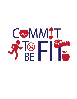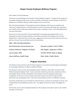# Harper County Employee Wellness Program

Dear Harper County Employees:

Thank you for participating in the Harper County Wellness Program. The goal of this program is to provide employees with access to more activities, information, and motivation to aid in the adoption of a healthier lifestyle, while having fun at the same time.

Not only will participation in the program provide employees with access to activities and resources to help maintain or improve physical, mental, and social well-being, but investing in your health will also help keep medical claims down, resulting in lower, more affordable group insurance premiums.

We want you to be successful! We are dedicated to providing equal opportunities to all employees and have formed a Wellness Committee comprised of employees from several departments. Please feel free to share your suggestions and success stories with any one of us, and let us know if you would like to join the Committee!

#### 2020 – 2021 Committee Members:

| Ami DeLacerda, Human Resources     | Hannah Lumpkin, Clerk's Office  |
|------------------------------------|---------------------------------|
| Audrey Anderson, Register of Deeds | Deb Ziegler, Appraiser's Office |
| Lisa Crawley, EMS                  | Jennifer Wolff, Dept on Aging   |
| Jonna Gaffney, Health Dept         | Ellen Yoder, Public Works       |

#### Program Overview:

The Harper County Commit to Be Fit Points Program is an incentive-based program developed to encourage employees to adopt a healthier lifestyle.

The program consists of four (4) participation levels: Platinum, Gold, Silver, & Bronze (with Platinum being the highest level). Various activities related to prevention, education, fitness, and healthy living have been identified in this handout and each assigned a point value. Completion of any one or more activities will result in points earned, the total of which determine your participation level. Each level reached allows access to a different incentive.

Incentives include (but are not limited to) extra PTO hours, entries into drawings for prizes, free memberships to local Wellness Centers, etc. The higher the level you attain, the bigger the prize!

At this time, we are only including employees in the program, but hope to open it up to family members in the future.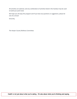All activities are optional, and any combination of activities listed in the handout may be used to build your point total.

We hope you all enjoy this program and if you have any questions or suggestions, please let one of us know!

Sincerely,

The Harper County Wellness Committee.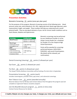

#### Prevention Activities

#### Biometric Screening 15 points (once per plan year)

For the purposes of this program, Biometric Screening consists of the following tests: blood pressure, pulse rate, total cholesterol, LDL, HDL, triglyceride level, blood sugar (glucose), waist measurement, height, and weight. These numbers will help you understand your overall physical health. They are also good indicators of your risk for chronic health conditions such as heart disease, diabetes and hypertension.

| <b>Screening</b>      | <b>Healthy Range</b> |
|-----------------------|----------------------|
| <b>Blood Pressure</b> | Systolic =/< 120mmHg |
|                       | Diastolic =/< 80mmHg |
| <b>Blood Sugar</b>    |                      |
| Fasting Glucose or    | < 100 mg/dL or       |
| Hemoglobin A1c        | < 5.6%               |
| BMI <sup>*</sup>      | < 25 > 18.5          |
| Cholesterol           |                      |
| Total Cholesterol or  | < 200 mg/dL or       |
| Total Cholesterol/HDL | < 4.5                |
| Cholesterol Ratio     |                      |

Biometric screenings may be performed by your Healthcare Provider or at the Harper County Health Fair, scheduled for October 23 in the Chaparral High School Gymnasium.

Points will be awarded for screenings performed between 10/01/2020 – 9/30/2021, with proof of participation. (No details will be released, just confirmation).

Dental Screening (cleaning) 10 points (2 allowed per year)

Eye Exam 10 points (1 allowed per year)

Flu Shot 10 points (1 allowed per year)

The Harper County Wellness Committee will be hosting a flu shot clinic in September.

Preventative Screening 10 points (each)

Includes mammogram, prostate check, pap smear, and colorectal screenings.

Non-Tobacco User 15 points (awarded annually)

Must be tobacco free for 90 days (and remain tobacco free throughout the program year) or complete an approved Tobacco cessation program.

Join the Blue365 discount program  $\overline{5}$  points (1 time only) Contact Human Resources for details.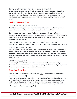### Sign up for a Fitness Membership 5 points (1 time only)

Employees signed up with the local Wellness Centers through the County are eligible for a discounted rate, and will have their premiums deducted and submitted through payroll. Interested employees should contact Human Resources. On-line memberships and memberships with programs outside of Harper County are also eligible, with submission of proof.

### Healthy Living Activities

#### Blood Donations 15 points (no limit)

Blood donation is a very important. Any employee that takes time out of his or her day to donate blood for the well-being of another person is greatly appreciated.

Contributing to a Supplemental Retirement Account 5 points (1 time only) This does not have to be a retirement program sponsored by the County (KPERS 457), it can be through another employer, your bank, or any investment firm you do business with. We encourage you to contribute!

Financial Advising or Estate Planning 5 points (1 allowed per year) For your future, we encourage you to work with a financial advisor to ensure financial security.

#### Personal Health Goals 5 points

Any employee can set personal health goals. Health Goals could include improving biometric results, weight loss, exercise, tobacco use, healthy eating, and sleep. Health Goals must be measurable and specific, and submitted in advance in order to receive credit. Goals must be submitted to Human Resources on the attached form, and achieved by September 20, 2021 to qualify for points.

#### Volunteering 5 points

Volunteering is an excellent thing to do for you community and personal well-being. Participants who volunteer for a charity or community organization can earn 5 points per every 4 hours of volunteering, up to 8 hours/10 points per month.

#### Education Activities

Engage with BCBS Network Care Navigator 5 points (points awarded with confirmation from BCBS)

If you are identified as being a high-risk for chronic conditions (such as diabetes, hypertension, or COPD), a BCBS Registered Nurse will contact you to provide assistance on managing your health. Risk will be determined based on biometric screening results and claims to date. Human Resources will receive reports from BCBS confirming participation (no details will be released, just confirmation of participation).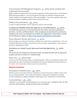# Chronic Disease Self-Management Programs 5 points (points awarded with confirmation from provider)

BCBS provides this opportunity to all covered employees, but this opportunity is not limited to BCBS sponsored programs. Any formal program that helps an individual manage personal health conditions and improve quality of life may be eligible. If you have questions about your individual program's eligibility, please contact Human Resources.

#### CPR/First Aid Certifications 10 points

A copy of a valid certification card is required for points to be awarded.

#### Complete the WebMD Health Risk Appraisal on the BCBS Website 5 points

The Health Risk Assessment is a brief questionnaire that collects information pertaining to biometrics, nutrition, and lifestyle habits. After completing and submitting the questionnaire, employees will receive correspondence from BCBS with suggestions for improving your health. Visit the BlueAccess website at https://www.bcbsks.com/help/blue-access-login/

#### Discuss Biometric Results with Doctor 5 points

We encourage you to take your biometric results to your next doctor's appointment. This is an excellent opportunity to begin a conversation with your doctor regarding your results and ask questions regarding your health.

### Attendance at a Harper County Sponsored Learning Opportunity 5 points (each)

The County will occasionally host and sponsor events, providing education and an opportunity to gather with your co-workers in a relaxed setting.

#### Power Hour 5 points (each)

There are many informational videos on the BCBS website. After you complete the video, they will provide you with a Certificate of Completion that must be submitted to Human Resources for credit. You may do these videos at your own convenience.

# Physical Activities

#### Participation in Athletic Events 10 points

Athletic events are any type of fitness competition or sports tournament. Athletic events must focus on physical activity. This includes participation in organized competitions, including CrossFit competitions, softball, basketball, or golf league team membership or tournaments.

#### Community Races 10 points

Employees can earn points for participating in any community races. Example of races: 5K, 10K, mud runs, and marathons. Cycling and virtual races are included.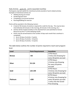#### Daily Activity up to 15 points (awarded monthly)

Participants may earn points for intentional activity (outside of work-related activity). Examples of intentional activity are:

- Walking during your break
- Gardening/yard work
- Completing a structured workout
- Running/Walking for exercise

Points will be awarded in the following manner:

- A total of 30 minutes of activity is required for credit for the day. This may be done intermittently (10 minutes in the morning, 20 minutes in the evening, etc.)
- Activity will be tracked monthly on the attached form and submitted to Human Resources by the 5<sup>th</sup> of the following month.
- Points may be earned based on the number of days each month that a workout is completed:
	- $\triangleright$  Up to 10 days of activity = 5 points
	- $\triangleright$  Up to 20 days of activity = 10 points
	- $\triangleright$  Up to 30 days of activity = 15 points

The table below outlines the number of points required to reach each program level.

| <b>Level</b>  | <b>Point Requirement</b> | <b>Incentives</b>          |  |  |
|---------------|--------------------------|----------------------------|--|--|
|               |                          | 2 PTO Hours                |  |  |
| <b>Bronze</b> | $>50$                    | 1 Entry into Drawing for   |  |  |
|               |                          | every 50 points accrued    |  |  |
|               |                          | 4 PTO Hours                |  |  |
| <b>Silver</b> | 55-124                   | 2 Entries into Drawing     |  |  |
|               |                          | for every 50 points        |  |  |
|               |                          | accrued                    |  |  |
|               |                          | <b>6 PTO Hours</b>         |  |  |
| Gold          | 125-199                  | 3 Entries into Drawing for |  |  |
|               |                          | every 50 points accrued.   |  |  |
|               |                          | 8 PTO Hours                |  |  |
|               |                          | 4 Entries into Drawing for |  |  |
| Platinum      | >200                     | every 50 points accrued.   |  |  |
|               |                          | 1 entry into the Grand     |  |  |
|               |                          | Prize drawing.             |  |  |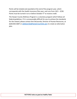Points will be totaled and awarded at the end of the program year, which corresponds with the Health Insurance Plan year, and runs from  $10/1 - 9/30$ . Points must be turned in on or before October 5<sup>th</sup> to receive credit.

The Harper County Wellness Program is a voluntary program which follows all federal guidelines. If it is unreasonably difficult for you to achieve the standards for the reward, please contact Ami DeLacerda, Director of Human Resources, at (620) 842-6007 or adelacerda@harpercountyks.gov to create an alternative plan.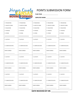

# POINTS SUBMISSION FORM

PLAN YEAR:

EMPLOYEE NAME:

| $\Box$ PREVENTION      | $\Box$ PREVENTION       | $\Box$ PREVENTION        | $\Box$ PREVENTION      | $\Box$ PREVENTION      |
|------------------------|-------------------------|--------------------------|------------------------|------------------------|
| $\Box$ HEALTHY LIVING  | <b>D</b> HEALTHY LIVING | <b>ID HEALTHY LIVING</b> | $\Box$ HEALTHY LIVING  | $\Box$ HEALTHY LIVING  |
| $\square$ EDUCATION    | $\square$ EDUCATION     | $\square$ EDUCATION      | $\square$ EDUCATION    | $\square$ EDUCATION    |
| <b>D</b> PHYSICAL      | <b>D</b> PHYSICAL       | $\Box$ PHYSICAL          | $\Box$ PHYSICAL        | $\Box$ PHYSICAL        |
| $\Box$ OTHER:          | $\Box$ OTHER:           | $\Box$ OTHER:            | $\Box$ OTHER:          | $\Box$ OTHER:          |
|                        |                         |                          |                        |                        |
| $\Box$ ACTIVITY:       | $\Box$ ACTIVITY:        | $\Box$ ACTIVITY:         | $\Box$ ACTIVITY:       | $\Box$ ACTIVITY:       |
| $\Box$ COMPLETED DATE: | $\Box$ COMPLETED DATE:  | $\Box$ COMPLETED DATE:   | $\Box$ COMPLETED DATE: | $\Box$ COMPLETED DATE: |
| POINTS EARNED:         | POINTS EARNED:          | POINTS EARNED:           | POINTS EARNED:         | POINTS EARNED:         |
| $\Box$ ACTIVITY:       | $\Box$ ACTIVITY:        | $\Box$ ACTIVITY:         | $\Box$ ACTIVITY:       | $\Box$ ACTIVITY:       |
| $\Box$ COMPLETED DATE: | $\Box$ COMPLETED DATE:  | $\Box$ COMPLETED DATE:   | $\Box$ COMPLETED DATE: | $\Box$ COMPLETED DATE: |
| POINTS EARNED:         | POINTS EARNED:          | POINTS EARNED:           | POINTS EARNED:         | POINTS EARNED:         |
| $\Box$ ACTIVITY:       | $\Box$ ACTIVITY:        | $\Box$ ACTIVITY:         | $\Box$ ACTIVITY:       | $\Box$ ACTIVITY:       |
| $\Box$ COMPLETED DATE: | $\Box$ COMPLETED DATE:  | $\Box$ COMPLETED DATE:   | $\Box$ COMPLETED DATE: | $\Box$ COMPLETED DATE: |
| POINTS EARNED:         | POINTS EARNED:          | POINTS EARNED:           | POINTS EARNED:         | POINTS EARNED:         |

DATE RECEIVED BY HR: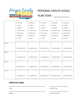

# PERSONAL HEALTH GOALS PLAN YEAR:

|        | $\Box$ NUTRITION       | $\Box$ NUTRITION       | $\Box$ NUTRITION       | $\Box$ NUTRITION       | $\Box$ NUTRITION       |
|--------|------------------------|------------------------|------------------------|------------------------|------------------------|
|        | $\square$ FITNESS      | $\square$ FITNESS      | $\square$ FITNESS      | $\square$ FITNESS      | $\square$ FITNESS      |
|        | <b>D</b> FINANCIAL     | <b>D</b> FINANCIAL     | <b>D</b> FINANCIAL     | <b>D</b> FINANCIAL     | $\Box$ FINANCIAL       |
|        | $\Box$ MENTAL HEALTH   | $\Box$ MENTAL HEALTH   | $\Box$ MENTAL HEALTH   | $\Box$ MENTAL HEALTH   | $\Box$ MENTAL HEALTH   |
|        | □ WEIGHT LOSS          | $\Box$ WEIGHT LOSS     | $\Box$ WEIGHT LOSS     | □ WEIGHT LOSS          | $\Box$ WEIGHT LOSS     |
|        | $\Box$ BIOMETRICS      | $\square$ BIOMETRICS   | $\square$ BIOMETRICS   | $\square$ BIOMETRICS   | $\square$ BIOMETRICS   |
|        | $\Box$ OTHER:          | $\Box$ OTHER:          | $\Box$ OTHER:          | $\Box$ OTHER:          | $\Box$ OTHER:          |
|        |                        |                        |                        |                        |                        |
| 30-DAY |                        |                        |                        |                        |                        |
|        |                        |                        |                        |                        |                        |
|        | $\Box$ COMPLETED DATE: | $\Box$ COMPLETED DATE: | $\Box$ COMPLETED DATE: | $\Box$ COMPLETED DATE: | $\Box$ COMPLETED DATE: |
|        |                        |                        |                        |                        |                        |
| 60-DAY |                        |                        |                        |                        |                        |
|        |                        |                        |                        |                        |                        |
|        | $\Box$ COMPLETED DATE: | $\Box$ COMPLETED DATE: | $\Box$ COMPLETED DATE: | $\Box$ COMPLETED DATE: | $\Box$ COMPLETED DATE: |
| 90-DAY |                        |                        |                        |                        |                        |
|        |                        |                        |                        |                        |                        |
|        | $\Box$ COMPLETED DATE: | $\Box$ COMPLETED DATE: | $\Box$ COMPLETED DATE: | $\Box$ COMPLETED DATE: | $\Box$ COMPLETED DATE: |
|        |                        |                        |                        |                        |                        |
| 1 YEAR |                        |                        |                        |                        |                        |
|        |                        |                        |                        |                        |                        |
|        | $\Box$ COMPLETED DATE: | $\Box$ COMPLETED DATE: | $\Box$ COMPLETED DATE: | $\Box$ COMPLETED DATE: | $\Box$ COMPLETED DATE: |
|        |                        |                        |                        |                        |                        |

# EMPLOYEE NAME:

Printed Submission Date of the Submission Date of the Submission Date of the Submission Date of the Submission Date of the Submission Date of the Submission Date of the Submission Date of the Submission Date of the Submiss

| Signature | Date Received by HR |
|-----------|---------------------|
|-----------|---------------------|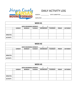

# DAILY ACTIVITY LOG

MONTH: DATE SUBMITTED:

EMPLOYEE:

| WEEK #1                       |  |               |               |                |                  |                 |               |                 |  |
|-------------------------------|--|---------------|---------------|----------------|------------------|-----------------|---------------|-----------------|--|
| <b>WEEK BEGINNING MONDAY:</b> |  |               |               |                |                  |                 |               |                 |  |
|                               |  | <b>SUNDAY</b> | <b>MONDAY</b> | <b>TUESDAY</b> | <b>WEDNESDAY</b> | <b>THURSDAY</b> | <b>FRIDAY</b> | <b>SATURDAY</b> |  |
|                               |  |               |               |                |                  |                 |               |                 |  |
|                               |  |               |               |                |                  |                 |               |                 |  |
| <b>MINUTES:</b>               |  |               |               |                |                  |                 |               |                 |  |
| <b>ACTIVITY:</b>              |  |               |               |                |                  |                 |               |                 |  |

| WEEK #2                       |                                                                                                                             |  |  |  |  |  |  |  |  |
|-------------------------------|-----------------------------------------------------------------------------------------------------------------------------|--|--|--|--|--|--|--|--|
| <b>WEEK BEGINNING MONDAY:</b> |                                                                                                                             |  |  |  |  |  |  |  |  |
|                               | <b>THURSDAY</b><br><b>SUNDAY</b><br><b>MONDAY</b><br><b>WEDNESDAY</b><br><b>SATURDAY</b><br><b>TUESDAY</b><br><b>FRIDAY</b> |  |  |  |  |  |  |  |  |
|                               |                                                                                                                             |  |  |  |  |  |  |  |  |
|                               |                                                                                                                             |  |  |  |  |  |  |  |  |
| <b>MINUTES:</b>               |                                                                                                                             |  |  |  |  |  |  |  |  |
| <b>ACTIVITY:</b>              |                                                                                                                             |  |  |  |  |  |  |  |  |

| WEEK <sub>#3</sub>            |               |               |                |                  |                 |               |                 |  |  |
|-------------------------------|---------------|---------------|----------------|------------------|-----------------|---------------|-----------------|--|--|
| <b>WEEK BEGINNING MONDAY:</b> |               |               |                |                  |                 |               |                 |  |  |
|                               | <b>SUNDAY</b> | <b>MONDAY</b> | <b>TUESDAY</b> | <b>WEDNESDAY</b> | <b>THURSDAY</b> | <b>FRIDAY</b> | <b>SATURDAY</b> |  |  |
|                               |               |               |                |                  |                 |               |                 |  |  |
|                               |               |               |                |                  |                 |               |                 |  |  |
| <b>MINUTES:</b>               |               |               |                |                  |                 |               |                 |  |  |
| <b>ACTIVITY:</b>              |               |               |                |                  |                 |               |                 |  |  |